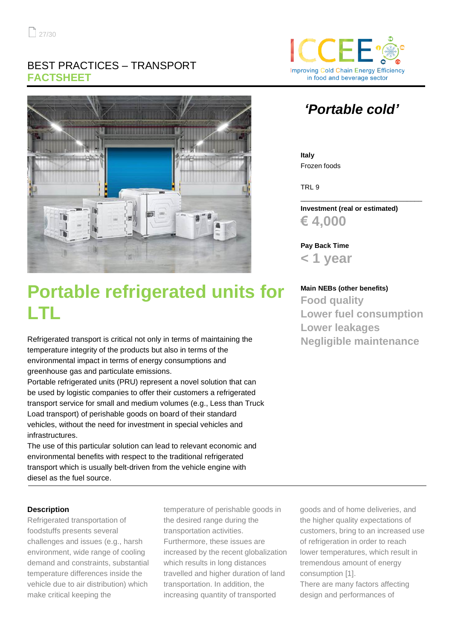## BEST PRACTICES – TRANSPORT **FACTSHEET**



## **Portable refrigerated units for LTL**

Refrigerated transport is critical not only in terms of maintaining the temperature integrity of the products but also in terms of the environmental impact in terms of energy consumptions and greenhouse gas and particulate emissions.

Portable refrigerated units (PRU) represent a novel solution that can be used by logistic companies to offer their customers a refrigerated transport service for small and medium volumes (e.g., Less than Truck Load transport) of perishable goods on board of their standard vehicles, without the need for investment in special vehicles and infrastructures.

The use of this particular solution can lead to relevant economic and environmental benefits with respect to the traditional refrigerated transport which is usually belt-driven from the vehicle engine with diesel as the fuel source.

# **Improving Cold Chain Energy Efficiency** in food and beverage sector

## *'Portable cold'*

**Italy** Frozen foods

TRL 9

**Investment (real or estimated) € 4,000**

\_\_\_\_\_\_\_\_\_\_\_\_\_\_\_\_\_\_\_\_\_\_\_\_\_\_\_\_\_\_\_\_

**Pay Back Time < 1 year**

### **Main NEBs (other benefits) Food quality Lower fuel consumption Lower leakages Negligible maintenance**

#### **Description**

Refrigerated transportation of foodstuffs presents several challenges and issues (e.g., harsh environment, wide range of cooling demand and constraints, substantial temperature differences inside the vehicle due to air distribution) which make critical keeping the

temperature of perishable goods in the desired range during the transportation activities. Furthermore, these issues are increased by the recent globalization which results in long distances travelled and higher duration of land transportation. In addition, the increasing quantity of transported

goods and of home deliveries, and the higher quality expectations of customers, bring to an increased use of refrigeration in order to reach lower temperatures, which result in tremendous amount of energy consumption [1]. There are many factors affecting design and performances of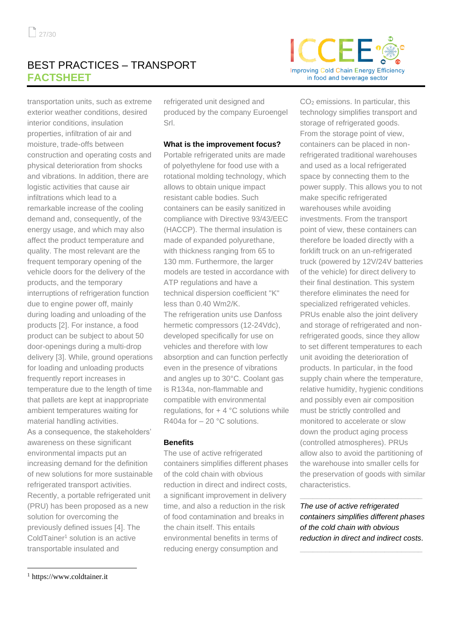### BEST PRACTICES – TRANSPORT **FACTSHEET**

transportation units, such as extreme exterior weather conditions, desired interior conditions, insulation properties, infiltration of air and moisture, trade-offs between construction and operating costs and physical deterioration from shocks and vibrations. In addition, there are logistic activities that cause air infiltrations which lead to a remarkable increase of the cooling demand and, consequently, of the energy usage, and which may also affect the product temperature and quality. The most relevant are the frequent temporary opening of the vehicle doors for the delivery of the products, and the temporary interruptions of refrigeration function due to engine power off, mainly during loading and unloading of the products [2]. For instance, a food product can be subject to about 50 door-openings during a multi-drop delivery [3]. While, ground operations for loading and unloading products frequently report increases in temperature due to the length of time that pallets are kept at inappropriate ambient temperatures waiting for material handling activities. As a consequence, the stakeholders' awareness on these significant environmental impacts put an increasing demand for the definition of new solutions for more sustainable refrigerated transport activities. Recently, a portable refrigerated unit (PRU) has been proposed as a new solution for overcoming the previously defined issues [4]. The ColdTainer<sup>1</sup> solution is an active transportable insulated and

refrigerated unit designed and produced by the company Euroengel Srl.

#### **What is the improvement focus?**

Portable refrigerated units are made of polyethylene for food use with a rotational molding technology, which allows to obtain unique impact resistant cable bodies. Such containers can be easily sanitized in compliance with Directive 93/43/EEC (HACCP). The thermal insulation is made of expanded polyurethane, with thickness ranging from 65 to 130 mm. Furthermore, the larger models are tested in accordance with ATP regulations and have a technical dispersion coefficient "K" less than 0.40 Wm2/K. The refrigeration units use Danfoss hermetic compressors (12-24Vdc), developed specifically for use on vehicles and therefore with low absorption and can function perfectly even in the presence of vibrations and angles up to 30°C. Coolant gas

is R134a, non-flammable and compatible with environmental regulations, for  $+ 4 °C$  solutions while R404a for – 20 °C solutions.

#### **Benefits**

The use of active refrigerated containers simplifies different phases of the cold chain with obvious reduction in direct and indirect costs, a significant improvement in delivery time, and also a reduction in the risk of food contamination and breaks in the chain itself. This entails environmental benefits in terms of reducing energy consumption and



CO<sup>2</sup> emissions. In particular, this technology simplifies transport and storage of refrigerated goods. From the storage point of view, containers can be placed in nonrefrigerated traditional warehouses and used as a local refrigerated space by connecting them to the power supply. This allows you to not make specific refrigerated warehouses while avoiding investments. From the transport point of view, these containers can therefore be loaded directly with a forklift truck on an un-refrigerated truck (powered by 12V/24V batteries of the vehicle) for direct delivery to their final destination. This system therefore eliminates the need for specialized refrigerated vehicles. PRUs enable also the joint delivery and storage of refrigerated and nonrefrigerated goods, since they allow to set different temperatures to each unit avoiding the deterioration of products. In particular, in the food supply chain where the temperature, relative humidity, hygienic conditions and possibly even air composition must be strictly controlled and monitored to accelerate or slow down the product aging process (controlled atmospheres). PRUs allow also to avoid the partitioning of the warehouse into smaller cells for the preservation of goods with similar characteristics.

*The use of active refrigerated containers simplifies different phases of the cold chain with obvious reduction in direct and indirect costs.*

**\_\_\_\_\_\_\_\_\_\_\_\_\_\_\_\_\_\_\_\_\_\_\_\_\_\_\_\_\_**

**\_\_\_\_\_\_\_\_\_\_\_\_\_\_\_\_\_\_\_\_\_\_\_\_\_\_\_\_\_**

<sup>1</sup> https://www.coldtainer.it